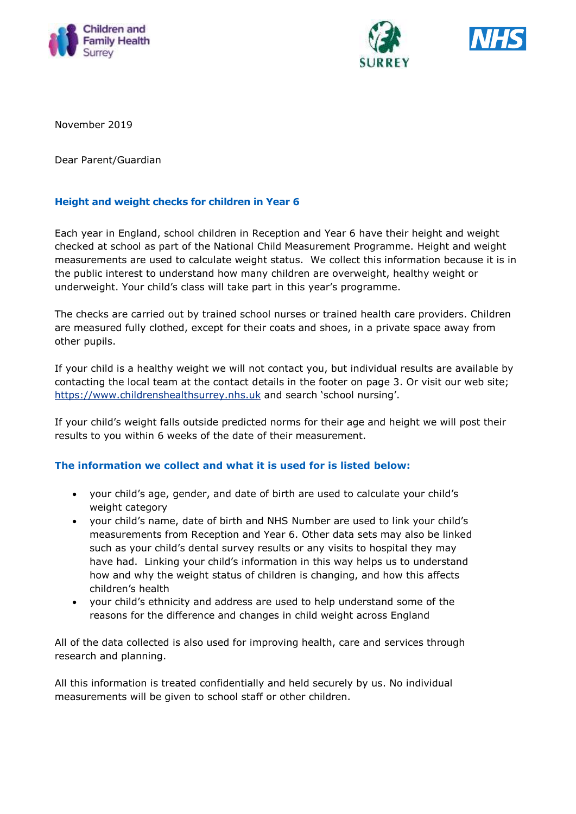





November 2019

Dear Parent/Guardian

### **Height and weight checks for children in Year 6**

Each year in England, school children in Reception and Year 6 have their height and weight checked at school as part of the National Child Measurement Programme. Height and weight measurements are used to calculate weight status. We collect this information because it is in the public interest to understand how many children are overweight, healthy weight or underweight. Your child's class will take part in this year's programme.

The checks are carried out by trained school nurses or trained health care providers. Children are measured fully clothed, except for their coats and shoes, in a private space away from other pupils.

If your child is a healthy weight we will not contact you, but individual results are available by contacting the local team at the contact details in the footer on page 3. Or visit our web site; [https://www.childrenshealthsurrey.nhs.uk](https://www.childrenshealthsurrey.nhs.uk/) and search 'school nursing'.

If your child's weight falls outside predicted norms for their age and height we will post their results to you within 6 weeks of the date of their measurement.

### **The information we collect and what it is used for is listed below:**

- your child's age, gender, and date of birth are used to calculate your child's weight category
- your child's name, date of birth and NHS Number are used to link your child's measurements from Reception and Year 6. Other data sets may also be linked such as your child's dental survey results or any visits to hospital they may have had. Linking your child's information in this way helps us to understand how and why the weight status of children is changing, and how this affects children's health
- your child's ethnicity and address are used to help understand some of the reasons for the difference and changes in child weight across England

All of the data collected is also used for improving health, care and services through research and planning.

All this information is treated confidentially and held securely by us. No individual measurements will be given to school staff or other children.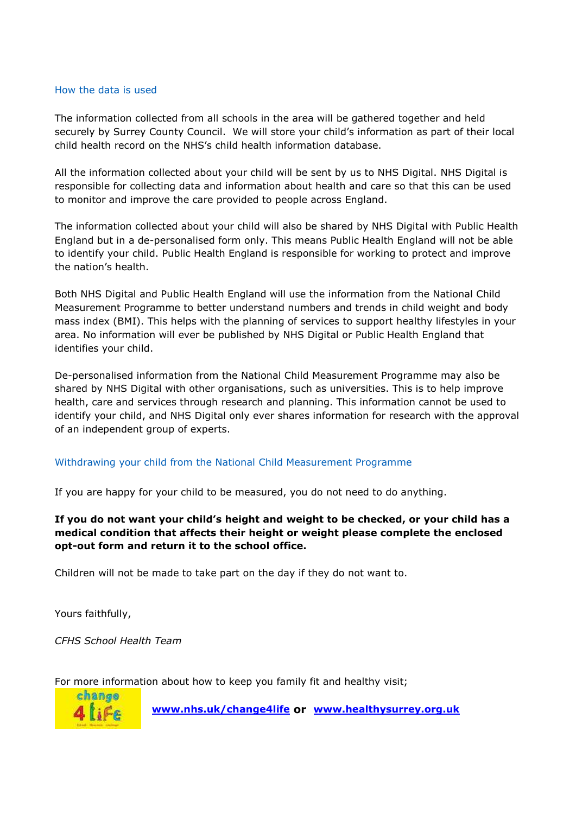### How the data is used

The information collected from all schools in the area will be gathered together and held securely by Surrey County Council. We will store your child's information as part of their local child health record on the NHS's child health information database.

All the information collected about your child will be sent by us to NHS Digital. NHS Digital is responsible for collecting data and information about health and care so that this can be used to monitor and improve the care provided to people across England.

The information collected about your child will also be shared by NHS Digital with Public Health England but in a de-personalised form only. This means Public Health England will not be able to identify your child. Public Health England is responsible for working to protect and improve the nation's health.

Both NHS Digital and Public Health England will use the information from the National Child Measurement Programme to better understand numbers and trends in child weight and body mass index (BMI). This helps with the planning of services to support healthy lifestyles in your area. No information will ever be published by NHS Digital or Public Health England that identifies your child.

De-personalised information from the National Child Measurement Programme may also be shared by NHS Digital with other organisations, such as universities. This is to help improve health, care and services through research and planning. This information cannot be used to identify your child, and NHS Digital only ever shares information for research with the approval of an independent group of experts.

### Withdrawing your child from the National Child Measurement Programme

If you are happy for your child to be measured, you do not need to do anything.

**If you do not want your child's height and weight to be checked, or your child has a medical condition that affects their height or weight please complete the enclosed opt-out form and return it to the school office.**

Children will not be made to take part on the day if they do not want to.

Yours faithfully,

*CFHS School Health Team*

For more information about how to keep you family fit and healthy visit;



 **[www.nhs.uk/change4life](http://www.nhs.uk/change4life) or [www.healthysurrey.org.uk](file:///C:/Users/chrismcdermott/Desktop/www.healthysurrey.org.uk)**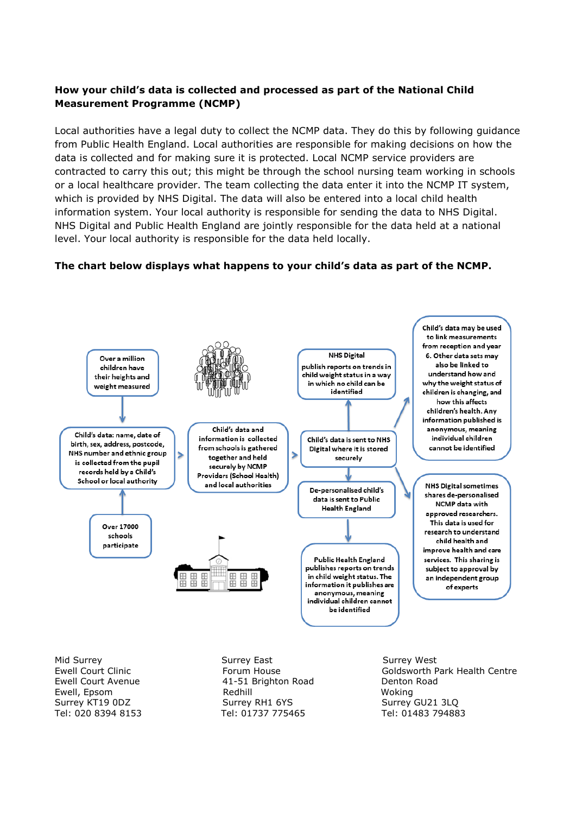## **How your child's data is collected and processed as part of the National Child Measurement Programme (NCMP)**

Local authorities have a legal duty to collect the NCMP data. They do this by following guidance from Public Health England. Local authorities are responsible for making decisions on how the data is collected and for making sure it is protected. Local NCMP service providers are contracted to carry this out; this might be through the school nursing team working in schools or a local healthcare provider. The team collecting the data enter it into the NCMP IT system, which is provided by NHS Digital. The data will also be entered into a local child health information system. Your local authority is responsible for sending the data to NHS Digital. NHS Digital and Public Health England are jointly responsible for the data held at a national level. Your local authority is responsible for the data held locally.

### **The chart below displays what happens to your child's data as part of the NCMP.**



Mid Surrey November 2012 Surrey East November 2014 Surrey West Ewell Court Avenue **41-51 Brighton Road** Denton Road Ewell, Epsom Redhill Woking Surrey KT19 0DZ Surrey RH1 6YS Surrey RH1 6YS Surrey GU21 3LO Tel: 020 8394 8153 Tel: 01737 775465 Tel: 01483 794883

Ewell Court Clinic **Forum House** Forum House Goldsworth Park Health Centre